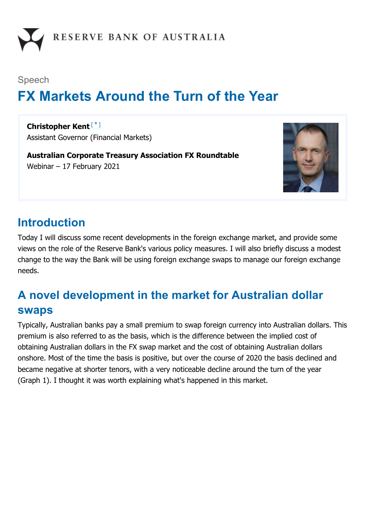

#### Speech

# **FX Markets Around the Turn of the Year**

**Christopher Kent** [\*]Assistant Governor (Financial Markets)

**Australian Corporate Treasury Association FX Roundtable** Webinar – 17 February 2021



### **Introduction**

Today I will discuss some recent developments in the foreign exchange market, and provide some views on the role of the Reserve Bank's various policy measures. I will also briefly discuss a modest change to the way the Bank will be using foreign exchange swaps to manage our foreign exchange needs.

# **A novel development in the market for Australian dollar swaps**

Typically, Australian banks pay a small premium to swap foreign currency into Australian dollars. This premium is also referred to as the basis, which is the difference between the implied cost of obtaining Australian dollars in the FX swap market and the cost of obtaining Australian dollars onshore. Most of the time the basis is positive, but over the course of 2020 the basis declined and became negative at shorter tenors, with a very noticeable decline around the turn of the year (Graph 1). I thought it was worth explaining what's happened in this market.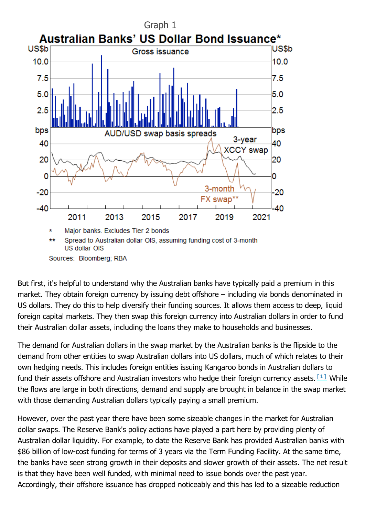

But first, it's helpful to understand why the Australian banks have typically paid a premium in this market. They obtain foreign currency by issuing debt offshore – including via bonds denominated in US dollars. They do this to help diversify their funding sources. It allows them access to deep, liquid foreign capital markets. They then swap this foreign currency into Australian dollars in order to fund their Australian dollar assets, including the loans they make to households and businesses.

The demand for Australian dollars in the swap market by the Australian banks is the flipside to the demand from other entities to swap Australian dollars into US dollars, much of which relates to their own hedging needs. This includes foreign entities issuing Kangaroo bonds in Australian dollars to fund their assets offshore and Australian investors who hedge their foreign currency assets.  $[1]$  While the flows are large in both directions, demand and supply are brought in balance in the swap market with those demanding Australian dollars typically paying a small premium.

However, over the past year there have been some sizeable changes in the market for Australian dollar swaps. The Reserve Bank's policy actions have played a part here by providing plenty of Australian dollar liquidity. For example, to date the Reserve Bank has provided Australian banks with \$86 billion of low-cost funding for terms of 3 years via the Term Funding Facility. At the same time, the banks have seen strong growth in their deposits and slower growth of their assets. The net result is that they have been well funded, with minimal need to issue bonds over the past year. Accordingly, their offshore issuance has dropped noticeably and this has led to a sizeable reduction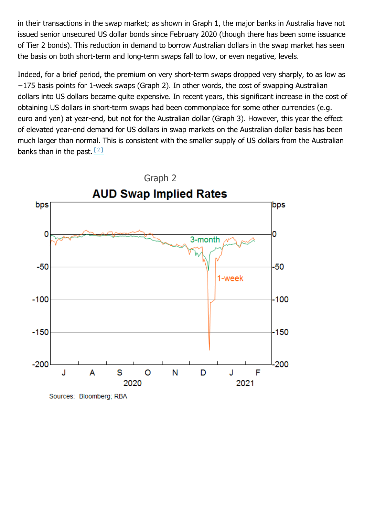in their transactions in the swap market; as shown in Graph 1, the major banks in Australia have not issued senior unsecured US dollar bonds since February 2020 (though there has been some issuance of Tier 2 bonds). This reduction in demand to borrow Australian dollars in the swap market has seen the basis on both short-term and long-term swaps fall to low, or even negative, levels.

Indeed, for a brief period, the premium on very short-term swaps dropped very sharply, to as low as −175 basis points for 1-week swaps (Graph 2). In other words, the cost of swapping Australian dollars into US dollars became quite expensive. In recent years, this significant increase in the cost of obtaining US dollars in short-term swaps had been commonplace for some other currencies (e.g. euro and yen) at year-end, but not for the Australian dollar (Graph 3). However, this year the effect of elevated year-end demand for US dollars in swap markets on the Australian dollar basis has been much larger than normal. This is consistent with the smaller supply of US dollars from the Australian banks than in the past.  $[2]$ 



Sources: Bloomberg; RBA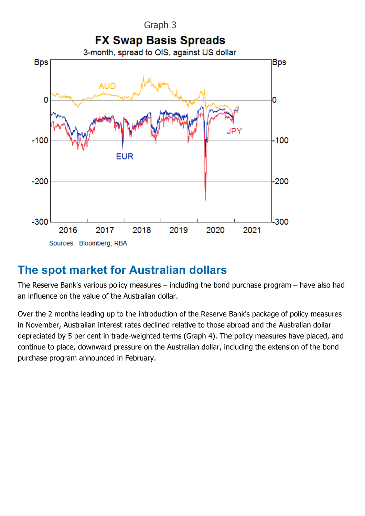

## **The spot market for Australian dollars**

The Reserve Bank's various policy measures – including the bond purchase program – have also had an influence on the value of the Australian dollar.

Over the 2 months leading up to the introduction of the Reserve Bank's package of policy measures in November, Australian interest rates declined relative to those abroad and the Australian dollar depreciated by 5 per cent in trade-weighted terms (Graph 4). The policy measures have placed, and continue to place, downward pressure on the Australian dollar, including the extension of the bond purchase program announced in February.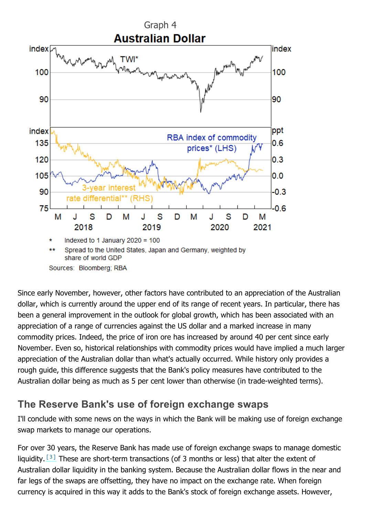

Since early November, however, other factors have contributed to an appreciation of the Australian dollar, which is currently around the upper end of its range of recent years. In particular, there has been a general improvement in the outlook for global growth, which has been associated with an appreciation of a range of currencies against the US dollar and a marked increase in many commodity prices. Indeed, the price of iron ore has increased by around 40 per cent since early November. Even so, historical relationships with commodity prices would have implied a much larger appreciation of the Australian dollar than what's actually occurred. While history only provides a rough guide, this difference suggests that the Bank's policy measures have contributed to the Australian dollar being as much as 5 per cent lower than otherwise (in trade-weighted terms).

#### **The Reserve Bank's use of foreign exchange swaps**

I'll conclude with some news on the ways in which the Bank will be making use of foreign exchange swap markets to manage our operations.

For over 30 years, the Reserve Bank has made use of foreign exchange swaps to manage domestic liquidity.  $[3]$  These are short-term transactions (of 3 months or less) that alter the extent of Australian dollar liquidity in the banking system. Because the Australian dollar flows in the near and far legs of the swaps are offsetting, they have no impact on the exchange rate. When foreign currency is acquired in this way it adds to the Bank's stock of foreign exchange assets. However,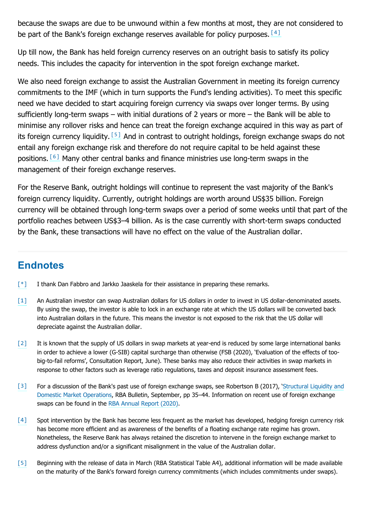because the swaps are due to be unwound within a few months at most, they are not considered to be part of the Bank's foreign exchange reserves available for policy purposes.  $[4]$ 

Up till now, the Bank has held foreign currency reserves on an outright basis to satisfy its policy needs. This includes the capacity for intervention in the spot foreign exchange market.

We also need foreign exchange to assist the Australian Government in meeting its foreign currency commitments to the IMF (which in turn supports the Fund's lending activities). To meet this specific need we have decided to start acquiring foreign currency via swaps over longer terms. By using sufficiently long-term swaps – with initial durations of 2 years or more – the Bank will be able to minimise any rollover risks and hence can treat the foreign exchange acquired in this way as part of its foreign currency liquidity. [5] And in contrast to outright holdings, foreign exchange swaps do not entail any foreign exchange risk and therefore do not require capital to be held against these positions. [6] Many other central banks and finance ministries use long-term swaps in the management of their foreign exchange reserves.

For the Reserve Bank, outright holdings will continue to represent the vast majority of the Bank's foreign currency liquidity. Currently, outright holdings are worth around US\$35 billion. Foreign currency will be obtained through long-term swaps over a period of some weeks until that part of the portfolio reaches between US\$3–4 billion. As is the case currently with short-term swaps conducted by the Bank, these transactions will have no effect on the value of the Australian dollar.

#### **Endnotes**

- [\*] I thank Dan Fabbro and Jarkko Jaaskela for their assistance in preparing these remarks.
- An Australian investor can swap Australian dollars for US dollars in order to invest in US dollar-denominated assets. By using the swap, the investor is able to lock in an exchange rate at which the US dollars will be converted back into Australian dollars in the future. This means the investor is not exposed to the risk that the US dollar will depreciate against the Australian dollar. [1]
- It is known that the supply of US dollars in swap markets at year-end is reduced by some large international banks in order to achieve a lower (G-SIB) capital surcharge than otherwise (FSB (2020), 'Evaluation of the effects of toobig-to-fail reforms', Consultation Report, June). These banks may also reduce their activities in swap markets in response to other factors such as leverage ratio regulations, taxes and deposit insurance assessment fees. [2]
- For a discussion of the Bank's past use of foreign exchange swaps, see Robertson B (2017), 'Structural Liquidity and Domestic Market Operations, RBA Bulletin, September, pp 35–44. Information on recent use of foreign exchange swaps can be found in the RBA Annual Report (2020). [3]
- Spot intervention by the Bank has become less frequent as the market has developed, hedging foreign currency risk has become more efficient and as awareness of the benefits of a floating exchange rate regime has grown. Nonetheless, the Reserve Bank has always retained the discretion to intervene in the foreign exchange market to address dysfunction and/or a significant misalignment in the value of the Australian dollar. [4]
- Beginning with the release of data in March (RBA Statistical Table A4), additional information will be made available on the maturity of the Bank's forward foreign currency commitments (which includes commitments under swaps). [5]